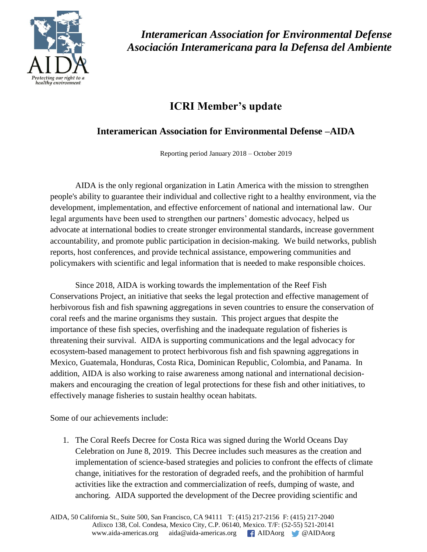

*Interamerican Association for Environmental Defense Asociación Interamericana para la Defensa del Ambiente*

## **ICRI Member's update**

## **Interamerican Association for Environmental Defense –AIDA**

Reporting period January 2018 – October 2019

AIDA is the only regional organization in Latin America with the mission to strengthen people's ability to guarantee their individual and collective right to a healthy environment, via the development, implementation, and effective enforcement of national and international law. Our legal arguments have been used to strengthen our partners' domestic advocacy, helped us advocate at international bodies to create stronger environmental standards, increase government accountability, and promote public participation in decision-making. We build networks, publish reports, host conferences, and provide technical assistance, empowering communities and policymakers with scientific and legal information that is needed to make responsible choices.

Since 2018, AIDA is working towards the implementation of the Reef Fish Conservations Project, an initiative that seeks the legal protection and effective management of herbivorous fish and fish spawning aggregations in seven countries to ensure the conservation of coral reefs and the marine organisms they sustain. This project argues that despite the importance of these fish species, overfishing and the inadequate regulation of fisheries is threatening their survival. AIDA is supporting communications and the legal advocacy for ecosystem-based management to protect herbivorous fish and fish spawning aggregations in Mexico, Guatemala, Honduras, Costa Rica, Dominican Republic, Colombia, and Panama. In addition, AIDA is also working to raise awareness among national and international decisionmakers and encouraging the creation of legal protections for these fish and other initiatives, to effectively manage fisheries to sustain healthy ocean habitats.

Some of our achievements include:

1. The Coral Reefs Decree for Costa Rica was signed during the World Oceans Day Celebration on June 8, 2019. This Decree includes such measures as the creation and implementation of science-based strategies and policies to confront the effects of climate change, initiatives for the restoration of degraded reefs, and the prohibition of harmful activities like the extraction and commercialization of reefs, dumping of waste, and anchoring. AIDA supported the development of the Decree providing scientific and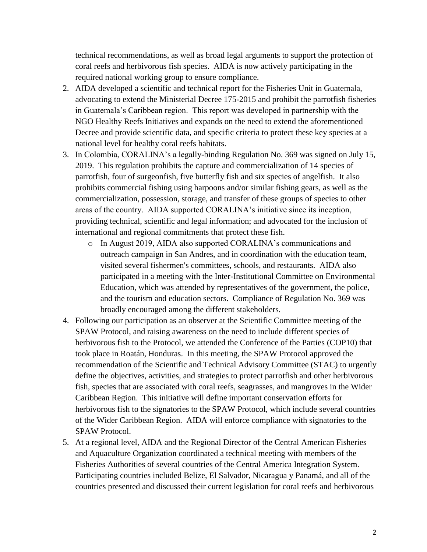technical recommendations, as well as broad legal arguments to support the protection of coral reefs and herbivorous fish species. AIDA is now actively participating in the required national working group to ensure compliance.

- 2. AIDA developed a scientific and technical report for the Fisheries Unit in Guatemala, advocating to extend the Ministerial Decree 175-2015 and prohibit the parrotfish fisheries in Guatemala's Caribbean region. This report was developed in partnership with the NGO Healthy Reefs Initiatives and expands on the need to extend the aforementioned Decree and provide scientific data, and specific criteria to protect these key species at a national level for healthy coral reefs habitats.
- 3. In Colombia, CORALINA's a legally-binding Regulation No. 369 was signed on July 15, 2019. This regulation prohibits the capture and commercialization of 14 species of parrotfish, four of surgeonfish, five butterfly fish and six species of angelfish. It also prohibits commercial fishing using harpoons and/or similar fishing gears, as well as the commercialization, possession, storage, and transfer of these groups of species to other areas of the country. AIDA supported CORALINA's initiative since its inception, providing technical, scientific and legal information; and advocated for the inclusion of international and regional commitments that protect these fish.
	- o In August 2019, AIDA also supported CORALINA's communications and outreach campaign in San Andres, and in coordination with the education team, visited several fishermen's committees, schools, and restaurants. AIDA also participated in a meeting with the Inter-Institutional Committee on Environmental Education, which was attended by representatives of the government, the police, and the tourism and education sectors. Compliance of Regulation No. 369 was broadly encouraged among the different stakeholders.
- 4. Following our participation as an observer at the Scientific Committee meeting of the SPAW Protocol, and raising awareness on the need to include different species of herbivorous fish to the Protocol, we attended the Conference of the Parties (COP10) that took place in Roatán, Honduras. In this meeting, the SPAW Protocol approved the recommendation of the Scientific and Technical Advisory Committee (STAC) to urgently define the objectives, activities, and strategies to protect parrotfish and other herbivorous fish, species that are associated with coral reefs, seagrasses, and mangroves in the Wider Caribbean Region. This initiative will define important conservation efforts for herbivorous fish to the signatories to the SPAW Protocol, which include several countries of the Wider Caribbean Region. AIDA will enforce compliance with signatories to the SPAW Protocol.
- 5. At a regional level, AIDA and the Regional Director of the Central American Fisheries and Aquaculture Organization coordinated a technical meeting with members of the Fisheries Authorities of several countries of the Central America Integration System. Participating countries included Belize, El Salvador, Nicaragua y Panamá, and all of the countries presented and discussed their current legislation for coral reefs and herbivorous